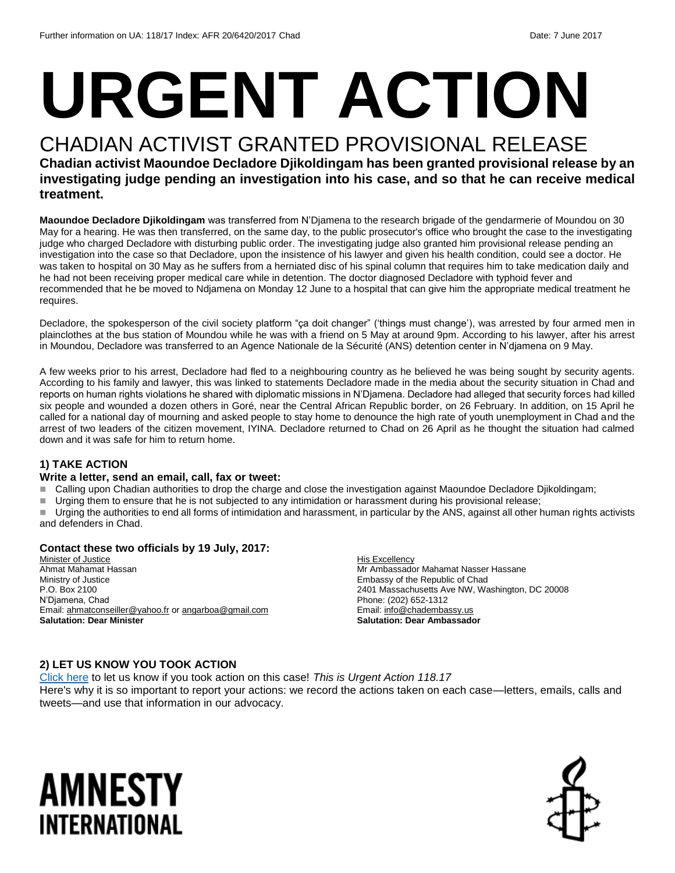# **URGENT ACTION**

## CHADIAN ACTIVIST GRANTED PROVISIONAL RELEASE

#### **Chadian activist Maoundoe Decladore Djikoldingam has been granted provisional release by an investigating judge pending an investigation into his case, and so that he can receive medical treatment.**

**Maoundoe Decladore Djikoldingam** was transferred from N'Djamena to the research brigade of the gendarmerie of Moundou on 30 May for a hearing. He was then transferred, on the same day, to the public prosecutor's office who brought the case to the investigating judge who charged Decladore with disturbing public order. The investigating judge also granted him provisional release pending an investigation into the case so that Decladore, upon the insistence of his lawyer and given his health condition, could see a doctor. He was taken to hospital on 30 May as he suffers from a herniated disc of his spinal column that requires him to take medication daily and he had not been receiving proper medical care while in detention. The doctor diagnosed Decladore with typhoid fever and recommended that he be moved to Ndjamena on Monday 12 June to a hospital that can give him the appropriate medical treatment he requires.

Decladore, the spokesperson of the civil society platform "ça doit changer" ('things must change'), was arrested by four armed men in plainclothes at the bus station of Moundou while he was with a friend on 5 May at around 9pm. According to his lawyer, after his arrest in Moundou, Decladore was transferred to an Agence Nationale de la Sécurité (ANS) detention center in N'djamena on 9 May.

A few weeks prior to his arrest, Decladore had fled to a neighbouring country as he believed he was being sought by security agents. According to his family and lawyer, this was linked to statements Decladore made in the media about the security situation in Chad and reports on human rights violations he shared with diplomatic missions in N'Djamena. Decladore had alleged that security forces had killed six people and wounded a dozen others in Goré, near the Central African Republic border, on 26 February. In addition, on 15 April he called for a national day of mourning and asked people to stay home to denounce the high rate of youth unemployment in Chad and the arrest of two leaders of the citizen movement, IYINA. Decladore returned to Chad on 26 April as he thought the situation had calmed down and it was safe for him to return home.

#### **1) TAKE ACTION**

#### **Write a letter, send an email, call, fax or tweet:**

- Calling upon Chadian authorities to drop the charge and close the investigation against Maoundoe Decladore Djikoldingam;
- Urging them to ensure that he is not subjected to any intimidation or harassment during his provisional release;

■ Urging the authorities to end all forms of intimidation and harassment, in particular by the ANS, against all other human rights activists and defenders in Chad.

#### **Contact these two officials by 19 July, 2017:**

Minister of Justice Ahmat Mahamat Hassan Ministry of Justice P.O. Box 2100 N'Djamena, Chad Email: [ahmatconseiller@yahoo.fr](mailto:ahmatconseiller@yahoo.fr) or [angarboa@gmail.com](mailto:angarboa@gmail.com) **Salutation: Dear Minister** 

**His Excellency** Mr Ambassador Mahamat Nasser Hassane Embassy of the Republic of Chad 2401 Massachusetts Ave NW, Washington, DC 20008 Phone: (202) 652-1312 Email[: info@chadembassy.us](mailto:info@chadembassy.us) **Salutation: Dear Ambassador**

#### **2) LET US KNOW YOU TOOK ACTION**

[Click here](https://docs.google.com/forms/d/e/1FAIpQLSf3RUspces4lA9Gt7Fp9GiAcojCs6fnfFOTCLli3Su6c3S8ew/viewform) to let us know if you took action on this case! *This is Urgent Action 118.17* Here's why it is so important to report your actions: we record the actions taken on each case—letters, emails, calls and tweets—and use that information in our advocacy.